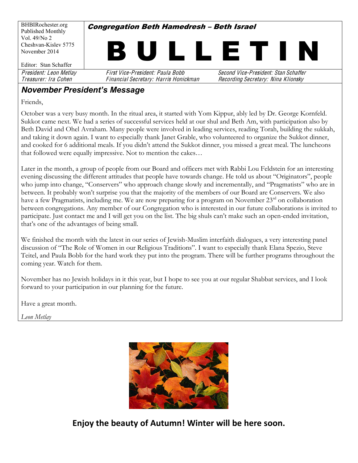BHBIRochester.org Published Monthly Vol. 49/No 2 Cheshvan-Kislev 5775 November 2014 Editor: Stan Schaffer **Congregation Beth Hamedresh - Beth Israel** I L L E T I I President: Leon Metlay First Vice-President: Paula Bobb Second Vice-President: Stan Schaffer Treasurer: Ira Cohen Financial Secretary: Harris Honickman Recording Secretary: Nina Klionsky

#### **November President's Message**

Friends,

October was a very busy month. In the ritual area, it started with Yom Kippur, ably led by Dr. George Kornfeld. Sukkot came next. We had a series of successful services held at our shul and Beth Am, with participation also by Beth David and Ohel Avraham. Many people were involved in leading services, reading Torah, building the sukkah, and taking it down again. I want to especially thank Janet Grable, who volunteered to organize the Sukkot dinner, and cooked for 6 additional meals. If you didn't attend the Sukkot dinner, you missed a great meal. The luncheons that followed were equally impressive. Not to mention the cakes...

Later in the month, a group of people from our Board and officers met with Rabbi Lou Feldstein for an interesting evening discussing the different attitudes that people have towards change. He told us about "Originators", people who jump into change, "Conservers" who approach change slowly and incrementally, and "Pragmatists" who are in between. It probably won't surprise you that the majority of the members of our Board are Conservers. We also have a few Pragmatists, including me. We are now preparing for a program on November 23<sup>rd</sup> on collaboration between congregations. Any member of our Congregation who is interested in our future collaborations is invited to participate. Just contact me and I will get you on the list. The big shuls can't make such an open-ended invitation, that's one of the advantages of being small.

We finished the month with the latest in our series of Jewish-Muslim interfaith dialogues, a very interesting panel discussion of "The Role of Women in our Religious Traditions". I want to especially thank Elana Spezio, Steve Teitel, and Paula Bobb for the hard work they put into the program. There will be further programs throughout the coming year. Watch for them.

November has no Jewish holidays in it this year, but I hope to see you at our regular Shabbat services, and I look forward to your participation in our planning for the future.

Have a great month.

*Leon Metlay*



Enjoy the beauty of Autumn! Winter will be here soon.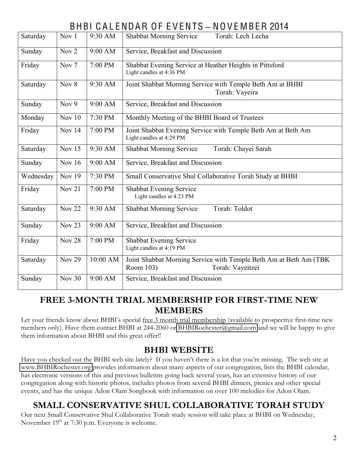# BHBI C A L ENDAR O F E V ENTS **±** NO V E MB ER 2014

| Saturday  | Nov 1            | 9:30 AM  | <b>Shabbat Morning Service</b><br>Torah: Lech Lecha                                                |  |  |  |  |
|-----------|------------------|----------|----------------------------------------------------------------------------------------------------|--|--|--|--|
| Sunday    | Nov <sub>2</sub> | 9:00 AM  | Service, Breakfast and Discussion                                                                  |  |  |  |  |
| Friday    | Nov <sub>7</sub> | 7:00 PM  | Shabbat Evening Service at Heather Heights in Pittsford<br>Light candles at 4:36 PM                |  |  |  |  |
| Saturday  | Nov 8            | 9:30 AM  | Joint Shabbat Morning Service with Temple Beth Am at BHBI<br>Torah: Vayeira                        |  |  |  |  |
| Sunday    | Nov $9$          | 9:00 AM  | Service, Breakfast and Discussion                                                                  |  |  |  |  |
| Monday    | Nov 10           | 7:30 PM  | Monthly Meeting of the BHBI Board of Trustees                                                      |  |  |  |  |
| Friday    | <b>Nov 14</b>    | 7:00 PM  | Joint Shabbat Evening Service with Temple Beth Am at Beth Am<br>Light candles at 4:29 PM           |  |  |  |  |
| Saturday  | Nov 15           | 9:30 AM  | Torah: Chayei Sarah<br><b>Shabbat Morning Service</b>                                              |  |  |  |  |
| Sunday    | <b>Nov 16</b>    | 9:00 AM  | Service, Breakfast and Discussion                                                                  |  |  |  |  |
| Wednesday | <b>Nov 19</b>    | 7:30 PM  | Small Conservative Shul Collaborative Torah Study at BHBI                                          |  |  |  |  |
| Friday    | Nov 21           | 7:00 PM  | Shabbat Evening Service<br>Light candles at 4:23 PM                                                |  |  |  |  |
| Saturday  | <b>Nov 22</b>    | 9:30 AM  | Torah: Toldot<br><b>Shabbat Morning Service</b>                                                    |  |  |  |  |
| Sunday    | <b>Nov 23</b>    | 9:00 AM  | Service, Breakfast and Discussion                                                                  |  |  |  |  |
| Friday    | <b>Nov 28</b>    | 7:00 PM  | Shabbat Evening Service<br>Light candles at 4:19 PM                                                |  |  |  |  |
| Saturday  | <b>Nov 29</b>    | 10:00 AM | Joint Shabbat Morning Service with Temple Beth Am at Beth Am (TBK<br>Room 103)<br>Torah: Vayeitzei |  |  |  |  |
| Sunday    | <b>Nov 30</b>    | 9:00 AM  | Service, Breakfast and Discussion                                                                  |  |  |  |  |

## **FREE 3-MONTH TRIAL MEMBERSHIP FOR FIRST-TIME NEW MEMBERS**

Let your friends know about BHBI's special free 3 month trial membership (available to prospective first-time new members only). Have them contact BHBI at 244-2060 or [BHBIRochester@gmail.com](mailto:BHBIRochester@gmail.com) and we will be happy to give them information about BHBI and this great offer!!

## **BHBI WEBSITE**

Have you checked out the BHBI web site lately? If you haven't there is a lot that you're missing. The web site at [www.BHBIRochester.org](http://www.bhbirochester.org/) provides information about many aspects of our congregation, lists the BHBI calendar, has electronic versions of this and previous bulletins going back several years, has an extensive history of our congregation along with historic photos, includes photos from several BHBI dinners, picnics and other special events, and has the unique Adon Olam Songbook with information on over 100 melodies for Adon Olam.

## **SMALL CONSERVATIVE SHUL COLLABORATIVE TORAH STUDY**

Our next Small Conservative Shul Collaborative Torah study session will take place at BHBI on Wednesday, November  $19<sup>th</sup>$  at 7:30 p.m. Everyone is welcome.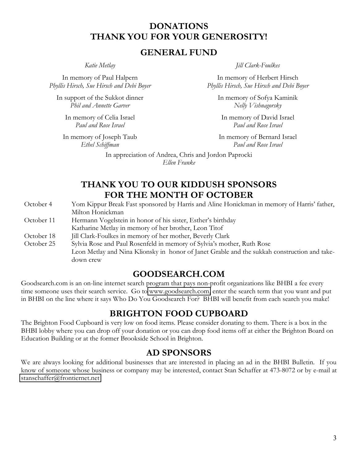### **DONATIONS THANK YOU FOR YOUR GENEROSITY!**

#### **GENERAL FUND**

In memory of Paul Halpern *Phyllis Hirsch, Sue Hirsch and Debi Boyer*

In support of the Sukkot dinner *Phil and Annette Garver*

In memory of Celia Israel *Paul and Rose Israel*

In memory of Joseph Taub *Ethel Schiffman*

down crew

*Katie Metlay Jill Clark-Foulkes*

In memory of Herbert Hirsch *Phyllis Hirsch, Sue Hirsch and Debi Boyer*

In memory of Sofya Kaminik *Nelly Vishnagorsky*

In memory of David Israel *Paul and Rose Israel*

In memory of Bernard Israel *Paul and Rose Israel*

In appreciation of Andrea, Chris and Jordon Paprocki *Ellen Franke*

### **THANK YOU TO OUR KIDDUSH SPONSORS FOR THE MONTH OF OCTOBER**

October 4 Yom Kippur Break Fast sponsored by Harris and Aline Honickman in memory of Harris' father, Milton Honickman October 11 Hermann Vogelstein in honor of his sister, Esther's birthday Katharine Metlay in memory of her brother, Leon Titof October 18 Jill Clark-Foulkes in memory of her mother, Beverly Clark October 25 Sylvia Rose and Paul Rosenfeld in memory of Sylvia's mother, Ruth Rose Leon Metlay and Nina Klionsky in honor of Janet Grable and the sukkah construction and take-

#### **GOODSEARCH.COM**

Goodsearch.com is an on-line internet search program that pays non-profit organizations like BHBI a fee every time someone uses their search service. Go to [www.goodsearch.com,](http://www.goodsearch.com/) enter the search term that you want and put in BHBI on the line where it says Who Do You Goodsearch For? BHBI will benefit from each search you make!

#### **BRIGHTON FOOD CUPBOARD**

The Brighton Food Cupboard is very low on food items. Please consider donating to them. There is a box in the BHBI lobby where you can drop off your donation or you can drop food items off at either the Brighton Board on Education Building or at the former Brookside School in Brighton.

#### **AD SPONSORS**

We are always looking for additional businesses that are interested in placing an ad in the BHBI Bulletin. If you know of someone whose business or company may be interested, contact Stan Schaffer at 473-8072 or by e-mail at [stanschaffer@frontiernet.net](mailto:stanschaffer@frontiernet.net)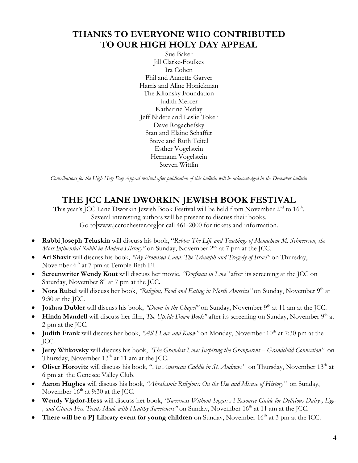## **THANKS TO EVERYONE WHO CONTRIBUTED TO OUR HIGH HOLY DAY APPEAL**

Sue Baker Jill Clarke-Foulkes Ira Cohen Phil and Annette Garver Harris and Aline Honickman The Klionsky Foundation Judith Mercer Katharine Metlay Jeff Nidetz and Leslie Toker Dave Rogachefsky Stan and Elaine Schaffer Steve and Ruth Teitel Esther Vogelstein Hermann Vogelstein Steven Wittlin

*Contributions for the High Holy Day Appeal received after publication of this bulletin will be acknowledged in the December bulletin*

## **THE JCC LANE DWORKIN JEWISH BOOK FESTIVAL**

This year's JCC Lane Dworkin Jewish Book Festival will be held from November  $2<sup>nd</sup>$  to  $16<sup>th</sup>$ . Several interesting authors will be present to discuss their books. Go to [www.jccrochester.org](http://www.jccrochester.org/) or call 461-2000 for tickets and information.

- x **Rabbi Joseph Teluskin** will discuss his book, ´*Rebbe: The Life and Teachings of Menachem M. Schneerson, the Most Influential Rabbi in Modern History*<sup>*n*</sup> on Sunday, November 2<sup>nd</sup> at 7 pm at the JCC.
- Ari Shavit will discuss his book, *''My Promised Land: The Triumph and Tragedy of Israel*<sup>*n*</sup> on Thursday, November  $6<sup>th</sup>$  at 7 pm at Temple Beth El.
- Screenwriter Wendy Kout will discuss her movie, *'Dorfman in Love''* after its screening at the JCC on Saturday, November  $8<sup>th</sup>$  at 7 pm at the JCC.
- **Nora Rubel** will discuss her book, *'Religion, Food and Eating in North America*<sup>*n*</sup> on Sunday, November 9<sup>th</sup> at 9:30 at the JCC.
- **Joshua Dubler** will discuss his book, *''Down in the Chapel*<sup>*n*</sup> on Sunday, November 9<sup>th</sup> at 11 am at the JCC.
- **Hinda Mandell** will discuss her film, *The Upside Down Book*<sup>*n*</sup> after its screening on Sunday, November 9<sup>th</sup> at 2 pm at the JCC.
- **Judith Frank** will discuss her book, *"All I Love and Know*" on Monday, November 10<sup>th</sup> at 7:30 pm at the JCC.
- Jerry Witkovsky will discuss his book, *'The Grandest Love: Inspiring the Granparent Grandchild Connection*<sup>*n*</sup> on Thursday, November  $13<sup>th</sup>$  at 11 am at the JCC.
- **Oliver Horovitz** will discuss his book, "*An American Caddie in St. Andrews*" on Thursday, November 13<sup>th</sup> at 6 pm at the Genesee Valley Club.
- **Aaron Hughes** will discuss his book, *"Abrahamic Religions: On the Use and Misuse of History*" on Sunday, November 16<sup>th</sup> at 9:30 at the JCC.
- x **Wendy Vigdor-Hess** will discuss her book, *´Sweetness Without Sugar: A Resource Guide for Delicious Dairy-, Egg-* , and Gluten-Free Treats Made with Healthy Sweeteners<sup>"</sup> on Sunday, November 16<sup>th</sup> at 11 am at the JCC.
- **There will be a PJ Library event for young children** on Sunday, November 16<sup>th</sup> at 3 pm at the JCC.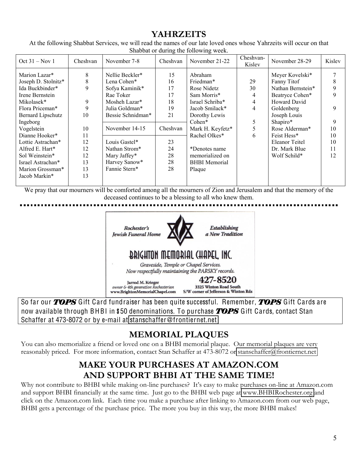## **YAHRZEITS**

At the following Shabbat Services, we will read the names of our late loved ones whose Yahrzeits will occur on that Shabbat or during the following week.

| $Oct 31 - Nov 1$                     | Cheshvan | November 7-8                   | Cheshvan | November 21-22       | Cheshvan-<br>Kislev | November 28-29                 | Kislev |
|--------------------------------------|----------|--------------------------------|----------|----------------------|---------------------|--------------------------------|--------|
| Marion Lazar*<br>Joseph D. Stolnitz* | 8<br>8   | Nellie Beckler*<br>Lena Cohen* | 15<br>16 | Abraham<br>Friedman* | 29                  | Meyer Kovelski*<br>Fanny Titof |        |
| Ida Buckbinder*                      | 9        | Sofya Kaminik*                 | 17       | Rose Nidetz          | 30                  | Nathan Bernstein*              |        |
| Irene Bernstein                      |          | Rae Toker                      | 17       | Sam Morris*          | 4                   | Beatryce Cohen*                |        |
| Mikolasek*                           | 9        | Mosheh Lazar*                  | 18       | Israel Schriba*      | 4                   | Howard David                   |        |
| Flora Priceman*                      | 9        | Julia Goldman*                 | 19       | Jacob Smilack*       | 4                   | Goldenberg                     | 9      |
| Bernard Lipschutz                    | 10       | Bessie Schnidman*              | 21       | Dorothy Lewis        |                     | Joseph Louis                   |        |
| Ingeborg                             |          |                                |          | $Cohen*$             | 5                   | Shapiro*                       | 9      |
| Vogelstein                           | 10       | November 14-15                 | Cheshvan | Mark H. Keyfetz*     | 5                   | Rose Alderman*                 | 10     |
| Dianne Hooker*                       | 11       |                                |          | Rachel Olkes*        | 6                   | Feist Hess*                    | 10     |
| Lottie Astrachan*                    | 12       | Louis Gastel*                  | 23       |                      |                     | Eleanor Teitel                 | 10     |
| Alfred E. Hart*                      | 12       | Nathan Strom*                  | 24       | *Denotes name        |                     | Dr. Mark Blue                  | 11     |
| Sol Weinstein*                       | 12       | Mary Jaffey*                   | 28       | memorialized on      |                     | Wolf Schild*                   | 12     |
| Israel Astrachan*                    | 13       | Harvey Sanow*                  | 28       | <b>BHBI</b> Memorial |                     |                                |        |
| Marion Grossman*                     | 13       | Fannie Stern*                  | 28       | Plaque               |                     |                                |        |
| Jacob Markin*                        | 13       |                                |          |                      |                     |                                |        |
|                                      |          |                                |          |                      |                     |                                |        |

We pray that our mourners will be comforted among all the mourners of Zion and Jerusalem and that the memory of the deceased continues to be a blessing to all who knew them.



So far our *TOPS* Gift Card fundraiser has been quite successful. Remember, *TOPS* Gift Cards are now available through BHBI in \$50 denominations. To purchase *TOPS* Gift Cards, contact Stan Schaffer at 473-8072 or by e-mail at stanschaffe[r@fronti](mailto:stanschaffer@frontiernet.net)ernet.net

## **MEMORIAL PLAQUES**

You can also memorialize a friend or loved one on a BHBI memorial plaque. Our memorial plaques are very reasonably priced. For more information, contact Stan Schaffer at 473-8072 or [stanschaffer@frontiernet.net](mailto:stanschaffer@frontiernet.net)

## **MAKE YOUR PURCHASES AT AMAZON.COM AND SUPPORT BHBI AT THE SAME TIME!**

Why not contribute to BHBI while making on-line purchases? It's easy to make purchases on-line at Amazon.com and support BHBI financially at the same time. Just go to the BHBI web page at [www.BHBIRochester.org](http://www.bhbirochester.org/) and click on the Amazon.com link. Each time you make a purchase after linking to Amazon.com from our web page, BHBI gets a percentage of the purchase price. The more you buy in this way, the more BHBI makes!